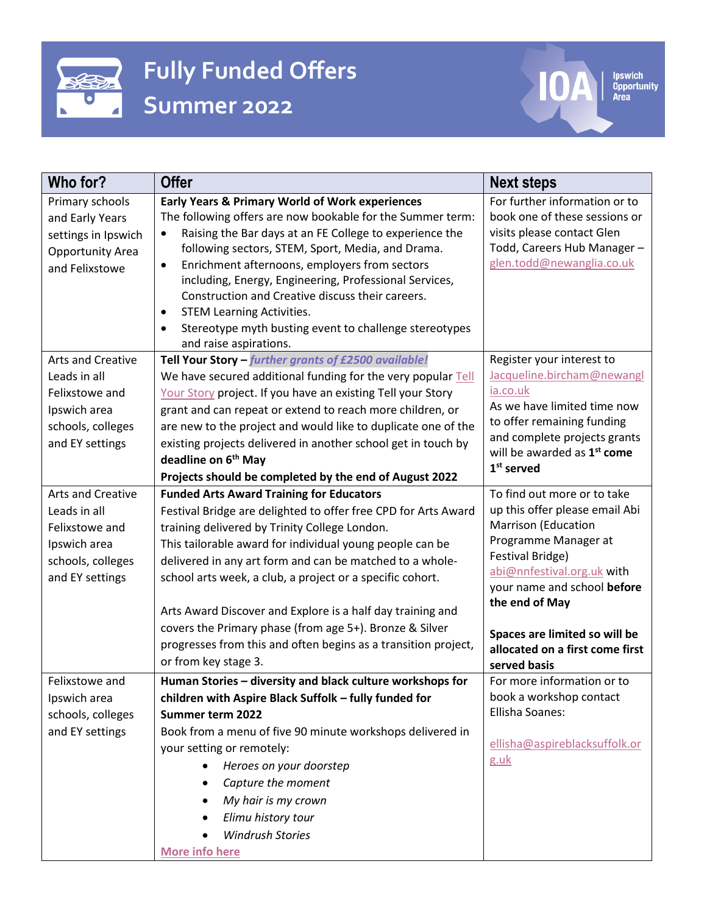

## **Fully Funded Offers Summer 2022**

 $\overline{\textbf{0}}$ 

lpswich<br>Opportunity<br>Area

 $\overline{\phantom{a}}$ 

| Who for?                                                                                                           | <b>Offer</b>                                                                                                                                                                                                                                                                                                                                                                                                                                                                                                                                                               | <b>Next steps</b>                                                                                                                                                                                                                                                                                          |
|--------------------------------------------------------------------------------------------------------------------|----------------------------------------------------------------------------------------------------------------------------------------------------------------------------------------------------------------------------------------------------------------------------------------------------------------------------------------------------------------------------------------------------------------------------------------------------------------------------------------------------------------------------------------------------------------------------|------------------------------------------------------------------------------------------------------------------------------------------------------------------------------------------------------------------------------------------------------------------------------------------------------------|
| Primary schools<br>and Early Years<br>settings in Ipswich<br><b>Opportunity Area</b><br>and Felixstowe             | <b>Early Years &amp; Primary World of Work experiences</b><br>The following offers are now bookable for the Summer term:<br>Raising the Bar days at an FE College to experience the<br>$\bullet$<br>following sectors, STEM, Sport, Media, and Drama.<br>Enrichment afternoons, employers from sectors<br>$\bullet$<br>including, Energy, Engineering, Professional Services,<br>Construction and Creative discuss their careers.<br><b>STEM Learning Activities.</b><br>$\bullet$<br>Stereotype myth busting event to challenge stereotypes<br>and raise aspirations.     | For further information or to<br>book one of these sessions or<br>visits please contact Glen<br>Todd, Careers Hub Manager-<br>glen.todd@newanglia.co.uk                                                                                                                                                    |
| Arts and Creative<br>Leads in all<br>Felixstowe and<br>Ipswich area<br>schools, colleges<br>and EY settings        | Tell Your Story - further grants of £2500 available!<br>We have secured additional funding for the very popular Tell<br>Your Story project. If you have an existing Tell your Story<br>grant and can repeat or extend to reach more children, or<br>are new to the project and would like to duplicate one of the<br>existing projects delivered in another school get in touch by<br>deadline on 6 <sup>th</sup> May<br>Projects should be completed by the end of August 2022                                                                                            | Register your interest to<br>Jacqueline.bircham@newangl<br>ia.co.uk<br>As we have limited time now<br>to offer remaining funding<br>and complete projects grants<br>will be awarded as 1 <sup>st</sup> come<br>$1st$ served                                                                                |
| <b>Arts and Creative</b><br>Leads in all<br>Felixstowe and<br>Ipswich area<br>schools, colleges<br>and EY settings | <b>Funded Arts Award Training for Educators</b><br>Festival Bridge are delighted to offer free CPD for Arts Award<br>training delivered by Trinity College London.<br>This tailorable award for individual young people can be<br>delivered in any art form and can be matched to a whole-<br>school arts week, a club, a project or a specific cohort.<br>Arts Award Discover and Explore is a half day training and<br>covers the Primary phase (from age 5+). Bronze & Silver<br>progresses from this and often begins as a transition project,<br>or from key stage 3. | To find out more or to take<br>up this offer please email Abi<br><b>Marrison (Education</b><br>Programme Manager at<br>Festival Bridge)<br>abi@nnfestival.org.uk with<br>your name and school before<br>the end of May<br>Spaces are limited so will be<br>allocated on a first come first<br>served basis |
| Felixstowe and<br>Ipswich area<br>schools, colleges<br>and EY settings                                             | Human Stories - diversity and black culture workshops for<br>children with Aspire Black Suffolk - fully funded for<br>Summer term 2022<br>Book from a menu of five 90 minute workshops delivered in<br>your setting or remotely:<br>Heroes on your doorstep<br>Capture the moment<br>$\bullet$<br>My hair is my crown<br>$\bullet$<br>Elimu history tour<br>٠<br><b>Windrush Stories</b><br><b>More info here</b>                                                                                                                                                          | For more information or to<br>book a workshop contact<br>Ellisha Soanes:<br>ellisha@aspireblacksuffolk.or<br>g.uk                                                                                                                                                                                          |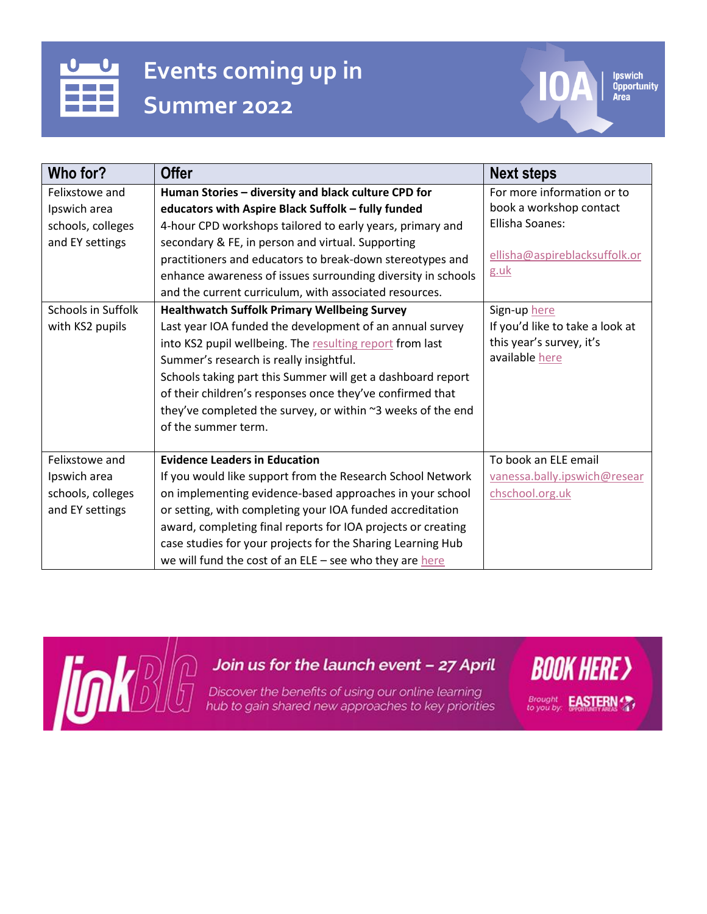## **Events coming up in Summer 2022**

**Who for? Offer Next steps** Felixstowe and Ipswich area schools, colleges and EY settings **Human Stories – diversity and black culture CPD for educators with Aspire Black Suffolk – fully funded**  4-hour CPD workshops tailored to early years, primary and secondary & FE, in person and virtual. Supporting practitioners and educators to break-down stereotypes and enhance awareness of issues surrounding diversity in schools and the current curriculum, with associated resources. For more information or to book a workshop contact Ellisha Soanes: [ellisha@aspireblacksuffolk.or](mailto:ellisha@aspireblacksuffolk.org.uk) [g.uk](mailto:ellisha@aspireblacksuffolk.org.uk) Schools in Suffolk with KS2 pupils **Healthwatch Suffolk Primary Wellbeing Survey** Last year IOA funded the development of an annual survey into KS2 pupil wellbeing. Th[e resulting report](https://healthwatchsuffolk.co.uk/news/research-pilot-exploring-childrens-emotional-wellbeing-in-suffolk/) from last Summer's research is really insightful. Schools taking part this Summer will get a dashboard report of their children's responses once they've confirmed that they've completed the survey, or within  $\sim$ 3 weeks of the end of the summer term. Sign-up [here](https://www.smartsurvey.co.uk/s/KS2signup2022/) If you'd like to take a look at this year's survey, it's availabl[e here](https://www.smartsurvey.co.uk/s/TestMHOF6KS2/) Felixstowe and Ipswich area schools, colleges and EY settings **Evidence Leaders in Education** If you would like support from the Research School Network on implementing evidence-based approaches in your school or setting, with completing your IOA funded accreditation award, completing final reports for IOA projects or creating case studies for your projects for the Sharing Learning Hub we will fund the cost of an  $ELE$  – see who they ar[e here](https://ipswichopportunityarea.co.uk/ipswich-evidence-leads-in-education-eles/) To book an ELE email [vanessa.bally.ipswich@resear](mailto:vanessa.bally.ipswich@researchschool.org.uk) [chschool.org.uk](mailto:vanessa.bally.ipswich@researchschool.org.uk)



## Join us for the launch event - 27 April

Discover the benefits of using our online learning hub to gain shared new approaches to key priorities

**BOOK HERE >** Brought **EASTERN** 

**Ipswich Opportunity**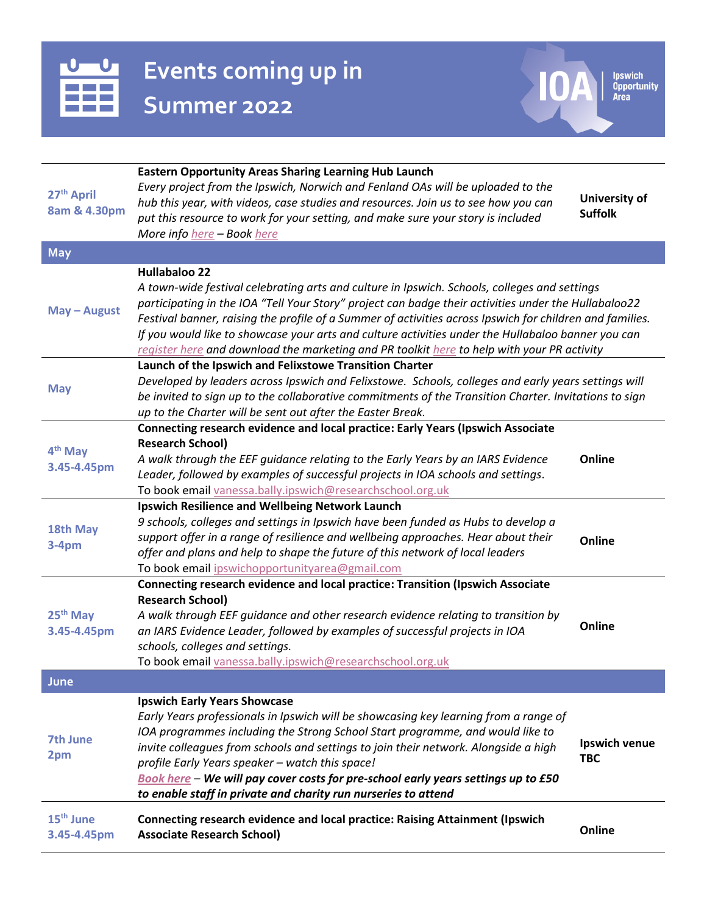

**Events coming up in Summer 2022**

**IOA** Byzantinity

| <b>Ipswich</b> |
|----------------|
| Opportunity    |
| $\mathbf{A}$   |

| <b>Eastern Opportunity Areas Sharing Learning Hub Launch</b><br>Every project from the Ipswich, Norwich and Fenland OAs will be uploaded to the<br>27 <sup>th</sup> April<br>University of<br>hub this year, with videos, case studies and resources. Join us to see how you can<br>8am & 4.30pm<br><b>Suffolk</b><br>put this resource to work for your setting, and make sure your story is included<br>More info here - Book here<br><b>May</b><br><b>Hullabaloo 22</b><br>A town-wide festival celebrating arts and culture in Ipswich. Schools, colleges and settings<br>participating in the IOA "Tell Your Story" project can badge their activities under the Hullabaloo22<br>May - August<br>Festival banner, raising the profile of a Summer of activities across Ipswich for children and families.<br>If you would like to showcase your arts and culture activities under the Hullabaloo banner you can<br>register here and download the marketing and PR toolkit here to help with your PR activity<br>Launch of the Ipswich and Felixstowe Transition Charter<br>Developed by leaders across Ipswich and Felixstowe. Schools, colleges and early years settings will<br><b>May</b><br>be invited to sign up to the collaborative commitments of the Transition Charter. Invitations to sign<br>up to the Charter will be sent out after the Easter Break.<br>Connecting research evidence and local practice: Early Years (Ipswich Associate<br><b>Research School)</b><br>4 <sup>th</sup> May<br>A walk through the EEF guidance relating to the Early Years by an IARS Evidence<br>Online<br>3.45-4.45pm<br>Leader, followed by examples of successful projects in IOA schools and settings.<br>To book email vanessa.bally.ipswich@researchschool.org.uk<br>Ipswich Resilience and Wellbeing Network Launch<br>9 schools, colleges and settings in Ipswich have been funded as Hubs to develop a<br>18th May<br>support offer in a range of resilience and wellbeing approaches. Hear about their<br>Online<br>$3-4pm$<br>offer and plans and help to shape the future of this network of local leaders<br>To book email ipswichopportunityarea@gmail.com<br>Connecting research evidence and local practice: Transition (Ipswich Associate<br><b>Research School)</b><br>25 <sup>th</sup> May<br>A walk through EEF guidance and other research evidence relating to transition by<br>Online<br>an IARS Evidence Leader, followed by examples of successful projects in IOA<br>3.45-4.45pm<br>schools, colleges and settings.<br>To book email vanessa.bally.ipswich@researchschool.org.uk<br>June<br><b>Ipswich Early Years Showcase</b><br>Early Years professionals in Ipswich will be showcasing key learning from a range of<br>IOA programmes including the Strong School Start programme, and would like to<br>7th June<br>Ipswich venue<br>invite colleagues from schools and settings to join their network. Alongside a high<br>2pm<br><b>TBC</b><br>profile Early Years speaker - watch this space!<br>Book here - We will pay cover costs for pre-school early years settings up to £50<br>to enable staff in private and charity run nurseries to attend<br>15 <sup>th</sup> June<br>Connecting research evidence and local practice: Raising Attainment (Ipswich<br>Online<br><b>Associate Research School)</b><br>3.45-4.45pm |  |  |  |
|------------------------------------------------------------------------------------------------------------------------------------------------------------------------------------------------------------------------------------------------------------------------------------------------------------------------------------------------------------------------------------------------------------------------------------------------------------------------------------------------------------------------------------------------------------------------------------------------------------------------------------------------------------------------------------------------------------------------------------------------------------------------------------------------------------------------------------------------------------------------------------------------------------------------------------------------------------------------------------------------------------------------------------------------------------------------------------------------------------------------------------------------------------------------------------------------------------------------------------------------------------------------------------------------------------------------------------------------------------------------------------------------------------------------------------------------------------------------------------------------------------------------------------------------------------------------------------------------------------------------------------------------------------------------------------------------------------------------------------------------------------------------------------------------------------------------------------------------------------------------------------------------------------------------------------------------------------------------------------------------------------------------------------------------------------------------------------------------------------------------------------------------------------------------------------------------------------------------------------------------------------------------------------------------------------------------------------------------------------------------------------------------------------------------------------------------------------------------------------------------------------------------------------------------------------------------------------------------------------------------------------------------------------------------------------------------------------------------------------------------------------------------------------------------------------------------------------------------------------------------------------------------------------------------------------------------------------------------------------------------------------------------------------------------------------------------------------------------------------------------------------------------------------------------------------------------------------------------------------------------------------------------------------------------------------------------------------------------------------------|--|--|--|
|                                                                                                                                                                                                                                                                                                                                                                                                                                                                                                                                                                                                                                                                                                                                                                                                                                                                                                                                                                                                                                                                                                                                                                                                                                                                                                                                                                                                                                                                                                                                                                                                                                                                                                                                                                                                                                                                                                                                                                                                                                                                                                                                                                                                                                                                                                                                                                                                                                                                                                                                                                                                                                                                                                                                                                                                                                                                                                                                                                                                                                                                                                                                                                                                                                                                                                                                                                  |  |  |  |
|                                                                                                                                                                                                                                                                                                                                                                                                                                                                                                                                                                                                                                                                                                                                                                                                                                                                                                                                                                                                                                                                                                                                                                                                                                                                                                                                                                                                                                                                                                                                                                                                                                                                                                                                                                                                                                                                                                                                                                                                                                                                                                                                                                                                                                                                                                                                                                                                                                                                                                                                                                                                                                                                                                                                                                                                                                                                                                                                                                                                                                                                                                                                                                                                                                                                                                                                                                  |  |  |  |
|                                                                                                                                                                                                                                                                                                                                                                                                                                                                                                                                                                                                                                                                                                                                                                                                                                                                                                                                                                                                                                                                                                                                                                                                                                                                                                                                                                                                                                                                                                                                                                                                                                                                                                                                                                                                                                                                                                                                                                                                                                                                                                                                                                                                                                                                                                                                                                                                                                                                                                                                                                                                                                                                                                                                                                                                                                                                                                                                                                                                                                                                                                                                                                                                                                                                                                                                                                  |  |  |  |
|                                                                                                                                                                                                                                                                                                                                                                                                                                                                                                                                                                                                                                                                                                                                                                                                                                                                                                                                                                                                                                                                                                                                                                                                                                                                                                                                                                                                                                                                                                                                                                                                                                                                                                                                                                                                                                                                                                                                                                                                                                                                                                                                                                                                                                                                                                                                                                                                                                                                                                                                                                                                                                                                                                                                                                                                                                                                                                                                                                                                                                                                                                                                                                                                                                                                                                                                                                  |  |  |  |
|                                                                                                                                                                                                                                                                                                                                                                                                                                                                                                                                                                                                                                                                                                                                                                                                                                                                                                                                                                                                                                                                                                                                                                                                                                                                                                                                                                                                                                                                                                                                                                                                                                                                                                                                                                                                                                                                                                                                                                                                                                                                                                                                                                                                                                                                                                                                                                                                                                                                                                                                                                                                                                                                                                                                                                                                                                                                                                                                                                                                                                                                                                                                                                                                                                                                                                                                                                  |  |  |  |
|                                                                                                                                                                                                                                                                                                                                                                                                                                                                                                                                                                                                                                                                                                                                                                                                                                                                                                                                                                                                                                                                                                                                                                                                                                                                                                                                                                                                                                                                                                                                                                                                                                                                                                                                                                                                                                                                                                                                                                                                                                                                                                                                                                                                                                                                                                                                                                                                                                                                                                                                                                                                                                                                                                                                                                                                                                                                                                                                                                                                                                                                                                                                                                                                                                                                                                                                                                  |  |  |  |
|                                                                                                                                                                                                                                                                                                                                                                                                                                                                                                                                                                                                                                                                                                                                                                                                                                                                                                                                                                                                                                                                                                                                                                                                                                                                                                                                                                                                                                                                                                                                                                                                                                                                                                                                                                                                                                                                                                                                                                                                                                                                                                                                                                                                                                                                                                                                                                                                                                                                                                                                                                                                                                                                                                                                                                                                                                                                                                                                                                                                                                                                                                                                                                                                                                                                                                                                                                  |  |  |  |
|                                                                                                                                                                                                                                                                                                                                                                                                                                                                                                                                                                                                                                                                                                                                                                                                                                                                                                                                                                                                                                                                                                                                                                                                                                                                                                                                                                                                                                                                                                                                                                                                                                                                                                                                                                                                                                                                                                                                                                                                                                                                                                                                                                                                                                                                                                                                                                                                                                                                                                                                                                                                                                                                                                                                                                                                                                                                                                                                                                                                                                                                                                                                                                                                                                                                                                                                                                  |  |  |  |
|                                                                                                                                                                                                                                                                                                                                                                                                                                                                                                                                                                                                                                                                                                                                                                                                                                                                                                                                                                                                                                                                                                                                                                                                                                                                                                                                                                                                                                                                                                                                                                                                                                                                                                                                                                                                                                                                                                                                                                                                                                                                                                                                                                                                                                                                                                                                                                                                                                                                                                                                                                                                                                                                                                                                                                                                                                                                                                                                                                                                                                                                                                                                                                                                                                                                                                                                                                  |  |  |  |
|                                                                                                                                                                                                                                                                                                                                                                                                                                                                                                                                                                                                                                                                                                                                                                                                                                                                                                                                                                                                                                                                                                                                                                                                                                                                                                                                                                                                                                                                                                                                                                                                                                                                                                                                                                                                                                                                                                                                                                                                                                                                                                                                                                                                                                                                                                                                                                                                                                                                                                                                                                                                                                                                                                                                                                                                                                                                                                                                                                                                                                                                                                                                                                                                                                                                                                                                                                  |  |  |  |